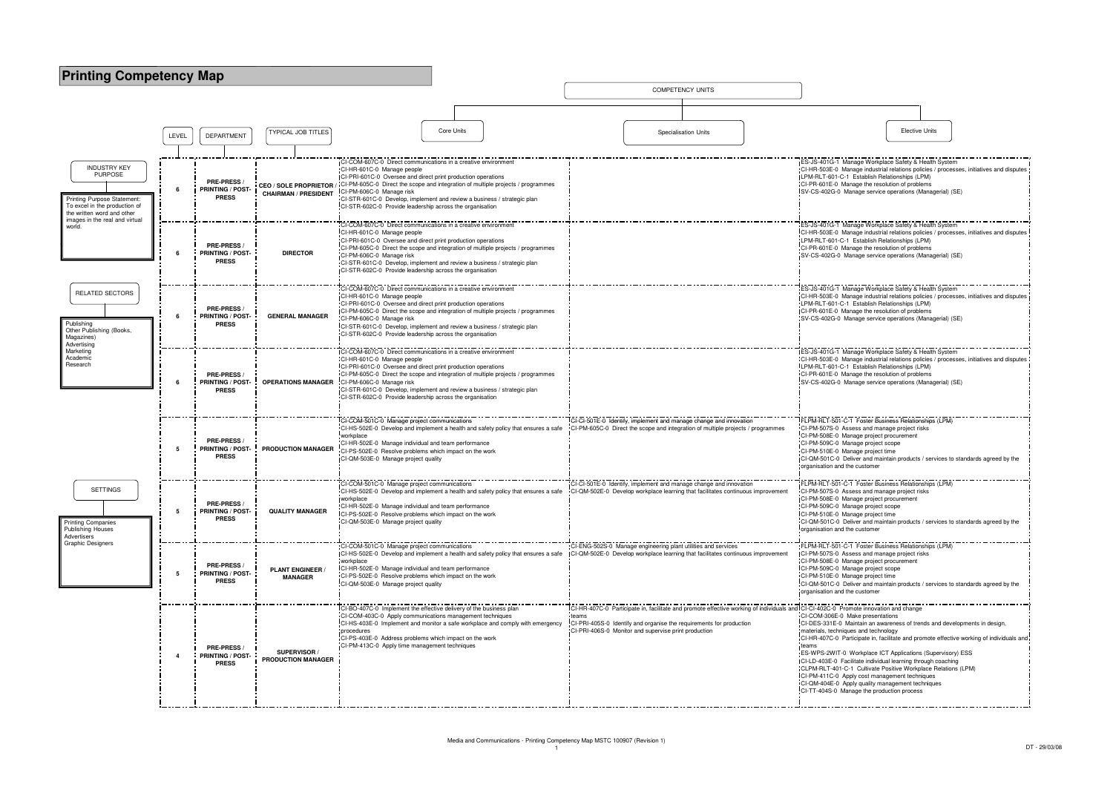## **Printing Competency Map**

COMPETENCY UNITS

|                                                                                                                                     |                                                                                                                                                                                                                                                                                                                                                                                                                                                                                                         | LEVEL                                                                                           | <b>DEPARTMENT</b>                                           | <b>TYPICAL JOB TITLES</b>          |                                                                                                                                                                                                                                                                                                                                                                                                                                         | <b>Core Units</b> |                                                                                   |                                                                                                                                                                                                                                                        |                                                      | <b>Specialisation Units</b>                                                                                                                          |  |                                                                                                                                                                                                                                                                                                                                                                                                                                                                                                                                                                                                                                                   | <b>Elective Units</b> |
|-------------------------------------------------------------------------------------------------------------------------------------|---------------------------------------------------------------------------------------------------------------------------------------------------------------------------------------------------------------------------------------------------------------------------------------------------------------------------------------------------------------------------------------------------------------------------------------------------------------------------------------------------------|-------------------------------------------------------------------------------------------------|-------------------------------------------------------------|------------------------------------|-----------------------------------------------------------------------------------------------------------------------------------------------------------------------------------------------------------------------------------------------------------------------------------------------------------------------------------------------------------------------------------------------------------------------------------------|-------------------|-----------------------------------------------------------------------------------|--------------------------------------------------------------------------------------------------------------------------------------------------------------------------------------------------------------------------------------------------------|------------------------------------------------------|------------------------------------------------------------------------------------------------------------------------------------------------------|--|---------------------------------------------------------------------------------------------------------------------------------------------------------------------------------------------------------------------------------------------------------------------------------------------------------------------------------------------------------------------------------------------------------------------------------------------------------------------------------------------------------------------------------------------------------------------------------------------------------------------------------------------------|-----------------------|
|                                                                                                                                     |                                                                                                                                                                                                                                                                                                                                                                                                                                                                                                         |                                                                                                 |                                                             |                                    |                                                                                                                                                                                                                                                                                                                                                                                                                                         |                   |                                                                                   |                                                                                                                                                                                                                                                        |                                                      |                                                                                                                                                      |  |                                                                                                                                                                                                                                                                                                                                                                                                                                                                                                                                                                                                                                                   |                       |
| <b>INDUSTRY KEY</b><br><b>PURPOSE</b><br>Printing Purpose Statement:<br>To excel in the production of<br>the written word and other |                                                                                                                                                                                                                                                                                                                                                                                                                                                                                                         | <b>PRE-PRESS</b><br>6<br><b>PRINTING / POST-</b><br><b>CHAIRMAN / PRESIDENT</b><br><b>PRESS</b> |                                                             |                                    | CI-COM-607C-0 Direct communications in a creative environme<br>CI-HR-601C-0 Manage people<br>CI-PRI-601C-0 Oversee and direct print production operations<br>CEO / SOLE PROPRIETOR / CI-PM-605C-0 Direct the scope and integration of multiple projects / programmes<br>CI-PM-606C-0 Manage risk<br>CI-STR-601C-0 Develop, implement and review a business / strategic plan<br>CI-STR-602C-0 Provide leadership across the organisation |                   |                                                                                   |                                                                                                                                                                                                                                                        |                                                      |                                                                                                                                                      |  | ES-JS-401G-1 Manage Workplace Safety & Health<br>CI-HR-503E-0 Manage industrial relations policies<br>LPM-RLT-601-C-1 Establish Relationships (LPM)<br>CI-PR-601E-0 Manage the resolution of problems<br>SV-CS-402G-0 Manage service operations (Manag                                                                                                                                                                                                                                                                                                                                                                                            |                       |
| images in the real and virtual<br>world.                                                                                            | CI-COM-607C-0 Direct communications in a creative environmen<br>CI-HR-601C-0 Manage people<br>CI-PRI-601C-0 Oversee and direct print production operations<br><b>PRE-PRESS</b><br>CI-PM-605C-0 Direct the scope and integration of multiple projects / programmes<br><b>DIRECTOR</b><br>6<br><b>PRINTING / POST-</b><br>CI-PM-606C-0 Manage risk<br><b>PRESS</b><br>CI-STR-601C-0 Develop, implement and review a business / strategic plan<br>CI-STR-602C-0 Provide leadership across the organisation |                                                                                                 |                                                             |                                    |                                                                                                                                                                                                                                                                                                                                                                                                                                         |                   |                                                                                   | ES-JS-401G-1 Manage Workplace Safety & Health<br>CI-HR-503E-0 Manage industrial relations policies<br>LPM-RLT-601-C-1 Establish Relationships (LPM)<br>CI-PR-601E-0 Manage the resolution of problems<br>SV-CS-402G-0 Manage service operations (Manag |                                                      |                                                                                                                                                      |  |                                                                                                                                                                                                                                                                                                                                                                                                                                                                                                                                                                                                                                                   |                       |
| RELATED SECTORS<br>Publishing<br>Other Publishing (Books,<br>Magazines)<br>Advertising                                              |                                                                                                                                                                                                                                                                                                                                                                                                                                                                                                         | 6                                                                                               | <b>PRE-PRESS</b><br><b>PRINTING / POST-</b><br><b>PRESS</b> | <b>GENERAL MANAGER</b>             | CI-COM-607C-0 Direct communications in a creative environmer<br>CI-HR-601C-0 Manage people<br>CI-PRI-601C-0 Oversee and direct print production operations<br>CI-PM-605C-0 Direct the scope and integration of multiple projects / programmes<br>CI-PM-606C-0 Manage risk<br>CI-STR-601C-0 Develop, implement and review a business / strategic plan<br>CI-STR-602C-0 Provide leadership across the organisation                        |                   |                                                                                   |                                                                                                                                                                                                                                                        |                                                      |                                                                                                                                                      |  | ES-JS-401G-1 Manage Workplace Safety & Health<br>CI-HR-503E-0 Manage industrial relations policies<br>LPM-RLT-601-C-1 Establish Relationships (LPM)<br>CI-PR-601E-0 Manage the resolution of problems<br>SV-CS-402G-0 Manage service operations (Manag                                                                                                                                                                                                                                                                                                                                                                                            |                       |
| Marketing<br>Academic<br>Research                                                                                                   |                                                                                                                                                                                                                                                                                                                                                                                                                                                                                                         | 6                                                                                               | <b>PRE-PRESS</b><br><b>PRINTING / POST-</b><br><b>PRESS</b> | <b>OPERATIONS MANAGER</b>          | CI-COM-607C-0 Direct communications in a creative environment<br>CI-HR-601C-0 Manage people<br>ICI-PRI-601C-0 Oversee and direct print production operations<br>CI-PM-605C-0 Direct the scope and integration of multiple projects / programmes<br>CI-PM-606C-0 Manage risk<br>CI-STR-601C-0 Develop, implement and review a business / strategic plan<br>CI-STR-602C-0 Provide leadership across the organisation                      |                   |                                                                                   |                                                                                                                                                                                                                                                        |                                                      |                                                                                                                                                      |  | ES-JS-401G-1 Manage Workplace Safety & Health<br>CI-HR-503E-0 Manage industrial relations policies<br>LPM-RLT-601-C-1 Establish Relationships (LPM)<br>CI-PR-601E-0 Manage the resolution of problems<br>SV-CS-402G-0 Manage service operations (Manag                                                                                                                                                                                                                                                                                                                                                                                            |                       |
|                                                                                                                                     |                                                                                                                                                                                                                                                                                                                                                                                                                                                                                                         | 5                                                                                               | <b>PRE-PRESS</b><br><b>PRINTING / POST-</b><br><b>PRESS</b> | PRODUCTION MANAGER                 | CI-COM-501C-0 Manage project communications<br>workplace<br>CI-HR-502E-0 Manage individual and team performance<br>CI-PS-502E-0 Resolve problems which impact on the work<br>CI-QM-503E-0 Manage project quality                                                                                                                                                                                                                        |                   | CI-HS-502E-0 Develop and implement a health and safety policy that ensures a safe |                                                                                                                                                                                                                                                        |                                                      | CI-CI-501E-0 Identify, implement and manage change and innovation<br>CI-PM-605C-0 Direct the scope and integration of multiple projects / programmes |  | FLPM-RLT-501-C-1 Foster Business Relationships<br>CI-PM-507S-0 Assess and manage project risks<br>CI-PM-508E-0 Manage project procurement<br>CI-PM-509C-0 Manage project scope<br>CI-PM-510E-0 Manage project time<br>CI-QM-501C-0 Deliver and maintain products / serv<br>organisation and the customer                                                                                                                                                                                                                                                                                                                                          |                       |
| <b>SETTINGS</b><br><b>Printing Companies</b><br>Publishing Houses<br>Advertisers                                                    |                                                                                                                                                                                                                                                                                                                                                                                                                                                                                                         | 5                                                                                               | <b>PRE-PRESS</b><br><b>PRINTING / POST-</b><br><b>PRESS</b> | <b>QUALITY MANAGER</b>             | CI-COM-501C-0 Manage project communications<br>workplace<br>CI-HR-502E-0 Manage individual and team performance<br>CI-PS-502E-0 Resolve problems which impact on the work<br>CI-QM-503E-0 Manage project quality                                                                                                                                                                                                                        |                   | CI-HS-502E-0 Develop and implement a health and safety policy that ensures a safe |                                                                                                                                                                                                                                                        |                                                      | CI-CI-501E-0 Identify, implement and manage change and innovation<br>CI-QM-502E-0 Develop workplace learning that facilitates continuous improvement |  | -LPM-RLT-501-C-1 Foster Business Relationships<br>CI-PM-507S-0 Assess and manage project risks<br>CI-PM-508E-0 Manage project procurement<br>"CI-PM-509C-0 Manage project scope<br>CI-PM-510E-0 Manage project time<br>CI-QM-501C-0 Deliver and maintain products / serv<br>organisation and the customer                                                                                                                                                                                                                                                                                                                                         |                       |
| <b>Graphic Designers</b>                                                                                                            |                                                                                                                                                                                                                                                                                                                                                                                                                                                                                                         | 5                                                                                               | <b>PRE-PRESS</b><br><b>PRINTING / POST-</b><br><b>PRESS</b> | <b>PLANT ENGINEER /</b><br>MANAGER | CI-COM-501C-0 Manage project communications<br>workplace<br>CI-HR-502E-0 Manage individual and team performance<br>CI-PS-502E-0 Resolve problems which impact on the work<br>CI-QM-503E-0 Manage project quality                                                                                                                                                                                                                        |                   | CI-HS-502E-0 Develop and implement a health and safety policy that ensures a safe |                                                                                                                                                                                                                                                        | --------------                                       | CI-ENG-502S-0 Manage engineering plant utilities and services<br>CI-QM-502E-0 Develop workplace learning that facilitates continuous improvement     |  | FLPM-RLT-501-C-1 Foster Business Relationships<br>CI-PM-507S-0 Assess and manage project risks<br>CI-PM-508E-0 Manage project procurement<br>CI-PM-509C-0 Manage project scope<br>CI-PM-510E-0 Manage project time<br>CI-QM-501C-0 Deliver and maintain products / serv<br>organisation and the customer                                                                                                                                                                                                                                                                                                                                          |                       |
|                                                                                                                                     |                                                                                                                                                                                                                                                                                                                                                                                                                                                                                                         | $\overline{4}$                                                                                  | PRE-PRESS /<br><b>PRINTING / POST-</b><br><b>PRESS</b>      | SUPERVISOR /<br>PRODUCTION MANAGER | CI-BO-407C-0 Implement the effective delivery of the business plan<br>CI-COM-403C-0 Apply communications management techniques<br>CI-HS-403E-0 Implement and monitor a safe workplace and comply with emergency<br>procedures<br>CI-PS-403E-0 Address problems which impact on the work<br>CI-PM-413C-0 Apply time management techniques                                                                                                |                   |                                                                                   | teams                                                                                                                                                                                                                                                  | CI-PRI-406S-0 Monitor and supervise print production | CI-PRI-405S-0 Identify and organise the requirements for production                                                                                  |  | CI-HR-407C-0 Participate in, facilitate and promote effective working of individuals and CI-CI-402C-0 Promote innovation and change<br>CI-COM-306E-0 Make presentations<br>CI-DES-331E-0 Maintain an awareness of trends are<br>materials, techniques and technology<br>CI-HR-407C-0 Participate in, facilitate and promote<br>teams<br>ES-WPS-2WIT-0 Workplace ICT Applications (Sup<br>CI-LD-403E-0 Facilitate individual learning through<br>CLPM-RLT-401-C-1 Cultivate Positive Workplace F<br>CI-PM-411C-0 Apply cost management techniques<br>CI-QM-404E-0 Apply quality management technique<br>CI-TT-404S-0 Manage the production process |                       |

|               | <b>Elective Units</b>                                                                                                                                                                                                                                                                                                                         |
|---------------|-----------------------------------------------------------------------------------------------------------------------------------------------------------------------------------------------------------------------------------------------------------------------------------------------------------------------------------------------|
|               |                                                                                                                                                                                                                                                                                                                                               |
|               |                                                                                                                                                                                                                                                                                                                                               |
|               | ES-JS-401G-1 Manage Workplace Safety & Health System<br>CI-HR-503E-0 Manage industrial relations policies / processes, initiatives and disputes<br>LPM-RLT-601-C-1 Establish Relationships (LPM)<br>CI-PR-601E-0 Manage the resolution of problems<br>ISV-CS-402G-0 Manage service operations (Managerial) (SE)                               |
|               |                                                                                                                                                                                                                                                                                                                                               |
|               | ES-JS-401G-1 Manage Workplace Safety & Health System<br>CI-HR-503E-0 Manage industrial relations policies / processes, initiatives and disputes<br>LPM-RLT-601-C-1 Establish Relationships (LPM)<br>CI-PR-601E-0 Manage the resolution of problems<br>SV-CS-402G-0 Manage service operations (Managerial) (SE)                                |
|               | ES-JS-401G-1 Manage Workplace Safety & Health System<br>CI-HR-503E-0 Manage industrial relations policies / processes, initiatives and disputes<br>LPM-RLT-601-C-1 Establish Relationships (LPM)<br>CI-PR-601E-0 Manage the resolution of problems                                                                                            |
|               | SV-CS-402G-0 Manage service operations (Managerial) (SE)                                                                                                                                                                                                                                                                                      |
|               | ES-JS-401G-1 Manage Workplace Safety & Health System<br>CI-HR-503E-0 Manage industrial relations policies / processes, initiatives and disputes<br>LPM-RLT-601-C-1 Establish Relationships (LPM)<br>CI-PR-601E-0 Manage the resolution of problems<br>SV-CS-402G-0 Manage service operations (Managerial) (SE)                                |
|               | FLPM-RLT-501-C-1 Foster Business Relationships (LPM)                                                                                                                                                                                                                                                                                          |
| programmes    | CI-PM-507S-0 Assess and manage project risks<br>CI-PM-508E-0 Manage project procurement<br>CI-PM-509C-0 Manage project scope<br>CI-PM-510E-0 Manage project time<br>CI-QM-501C-0 Deliver and maintain products / services to standards agreed by the                                                                                          |
|               | organisation and the customer                                                                                                                                                                                                                                                                                                                 |
| s improvement | FLPM-RLT-501-C-1 Foster Business Relationships (LPM)<br>CI-PM-507S-0 Assess and manage project risks<br>CI-PM-508E-0 Manage project procurement<br>CI-PM-509C-0 Manage project scope<br>CI-PM-510E-0 Manage project time<br>CI-QM-501C-0 Deliver and maintain products / services to standards agreed by the<br>organisation and the customer |
|               |                                                                                                                                                                                                                                                                                                                                               |
| s improvement | FLPM-RLT-501-C-1 Foster Business Relationships (LPM)<br>CI-PM-507S-0 Assess and manage project risks<br>CI-PM-508E-0 Manage project procurement<br>CI-PM-509C-0 Manage project scope<br>CI-PM-510E-0 Manage project time                                                                                                                      |
|               | CI-QM-501C-0 Deliver and maintain products / services to standards agreed by the<br>organisation and the customer                                                                                                                                                                                                                             |
|               | of individuals and ICI-CI-402C-0 Promote innovation and change                                                                                                                                                                                                                                                                                |
|               | CI-COM-306E-0 Make presentations<br>CI-DES-331E-0 Maintain an awareness of trends and developments in design,<br>materials, techniques and technology<br>CI-HR-407C-0 Participate in, facilitate and promote effective working of individuals and                                                                                             |
|               | teams<br>ES-WPS-2WIT-0 Workplace ICT Applications (Supervisory) ESS<br>CI-LD-403E-0 Facilitate individual learning through coaching                                                                                                                                                                                                           |
|               | CLPM-RLT-401-C-1 Cultivate Positive Workplace Relations (LPM)<br>CI-PM-411C-0 Apply cost management techniques<br>CI-QM-404E-0 Apply quality management techniques                                                                                                                                                                            |
|               | CI-TT-404S-0 Manage the production process                                                                                                                                                                                                                                                                                                    |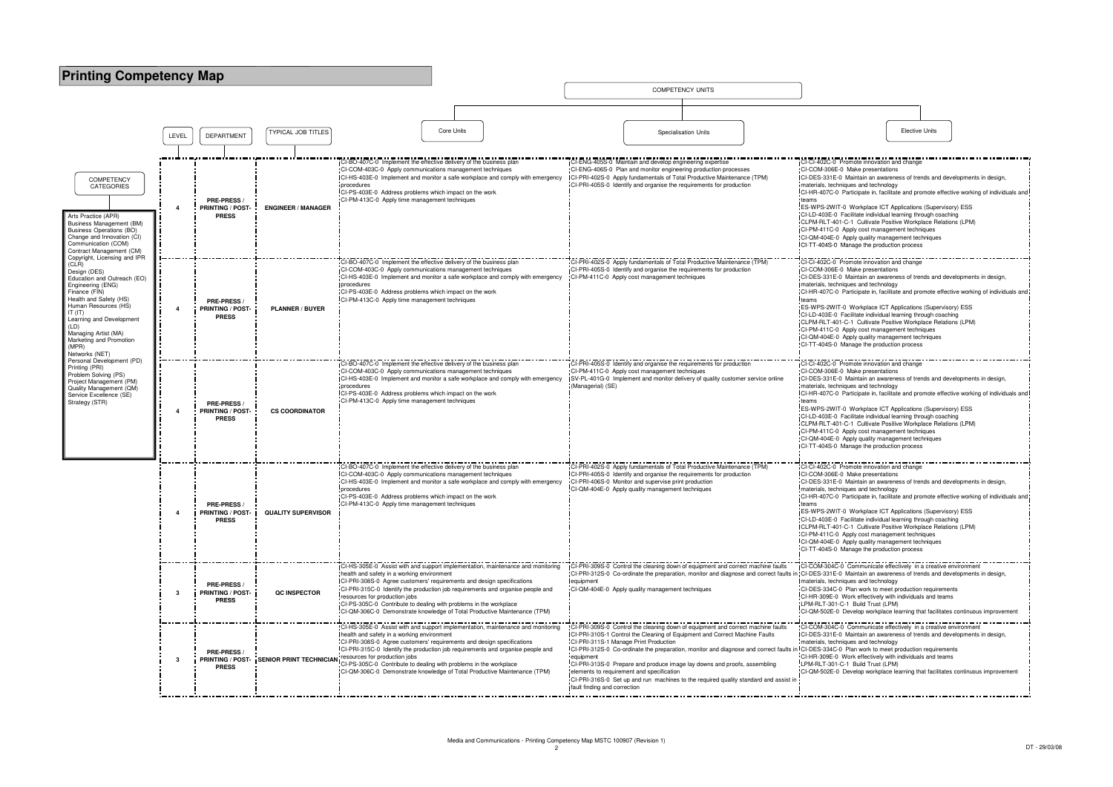| <b>Printing Competency Map</b>                                                                                                                                                                                                                                                                            |       |                                                        |                           |                                                                                                                                                                                                                                                                                                                                                                                                                                                                                                                     |            |                                           |                                                                                                                                                                                                                                                                                                                                                                                                                                                                                                                                                                       |                                                                                                                                                                                                                                                                                                                                                                                                                                                                                                                                                                                        |                                                                                                                                                                                                                                                                                                                                                                                                                                                                                                                                                                                         |                       |
|-----------------------------------------------------------------------------------------------------------------------------------------------------------------------------------------------------------------------------------------------------------------------------------------------------------|-------|--------------------------------------------------------|---------------------------|---------------------------------------------------------------------------------------------------------------------------------------------------------------------------------------------------------------------------------------------------------------------------------------------------------------------------------------------------------------------------------------------------------------------------------------------------------------------------------------------------------------------|------------|-------------------------------------------|-----------------------------------------------------------------------------------------------------------------------------------------------------------------------------------------------------------------------------------------------------------------------------------------------------------------------------------------------------------------------------------------------------------------------------------------------------------------------------------------------------------------------------------------------------------------------|----------------------------------------------------------------------------------------------------------------------------------------------------------------------------------------------------------------------------------------------------------------------------------------------------------------------------------------------------------------------------------------------------------------------------------------------------------------------------------------------------------------------------------------------------------------------------------------|-----------------------------------------------------------------------------------------------------------------------------------------------------------------------------------------------------------------------------------------------------------------------------------------------------------------------------------------------------------------------------------------------------------------------------------------------------------------------------------------------------------------------------------------------------------------------------------------|-----------------------|
|                                                                                                                                                                                                                                                                                                           |       |                                                        |                           |                                                                                                                                                                                                                                                                                                                                                                                                                                                                                                                     |            |                                           | <b>COMPETENCY UNITS</b>                                                                                                                                                                                                                                                                                                                                                                                                                                                                                                                                               |                                                                                                                                                                                                                                                                                                                                                                                                                                                                                                                                                                                        |                                                                                                                                                                                                                                                                                                                                                                                                                                                                                                                                                                                         |                       |
|                                                                                                                                                                                                                                                                                                           |       |                                                        |                           |                                                                                                                                                                                                                                                                                                                                                                                                                                                                                                                     |            |                                           |                                                                                                                                                                                                                                                                                                                                                                                                                                                                                                                                                                       |                                                                                                                                                                                                                                                                                                                                                                                                                                                                                                                                                                                        |                                                                                                                                                                                                                                                                                                                                                                                                                                                                                                                                                                                         |                       |
|                                                                                                                                                                                                                                                                                                           | LEVEL | <b>DEPARTMENT</b>                                      | <b>TYPICAL JOB TITLES</b> |                                                                                                                                                                                                                                                                                                                                                                                                                                                                                                                     | Core Units |                                           | <b>Specialisation Units</b>                                                                                                                                                                                                                                                                                                                                                                                                                                                                                                                                           |                                                                                                                                                                                                                                                                                                                                                                                                                                                                                                                                                                                        |                                                                                                                                                                                                                                                                                                                                                                                                                                                                                                                                                                                         | <b>Elective Units</b> |
|                                                                                                                                                                                                                                                                                                           |       |                                                        |                           |                                                                                                                                                                                                                                                                                                                                                                                                                                                                                                                     |            |                                           |                                                                                                                                                                                                                                                                                                                                                                                                                                                                                                                                                                       |                                                                                                                                                                                                                                                                                                                                                                                                                                                                                                                                                                                        |                                                                                                                                                                                                                                                                                                                                                                                                                                                                                                                                                                                         |                       |
| <b>COMPETENCY</b><br><b>CATEGORIES</b><br>Arts Practice (APR)<br>Business Management (BM)<br><b>Business Operations (BO)</b><br>Change and Innovation (CI)<br>Communication (COM)<br>Contract Management (CM)                                                                                             |       | PRE-PRESS /<br><b>PRINTING / POST</b><br><b>PRESS</b>  | <b>ENGINEER / MANAGER</b> | CI-BO-407C-0 Implement the effective delivery of the business plan<br>CI-COM-403C-0 Apply communications management techniques<br>CI-HS-403E-0 Implement and monitor a safe workplace and comply with emergency<br>procedures<br>CI-PS-403E-0 Address problems which impact on the work<br>CI-PM-413C-0 Apply time management techniques                                                                                                                                                                            |            |                                           | CI-ENG-405S-0 Maintain and develop engineering expertise<br>CI-ENG-406S-0 Plan and monitor engineering production processes<br>CI-PRI-402S-0 Apply fundamentals of Total Productive Maintenance (TPM)<br>CI-PRI-405S-0 Identify and organise the requirements for production                                                                                                                                                                                                                                                                                          | CI-CI-402C-0 Promote innovation and change<br>CI-COM-306E-0 Make presentations<br>CI-DES-331E-0 Maintain an awareness of trends and de<br>materials, techniques and technology<br>CI-HR-407C-0 Participate in, facilitate and promote effec<br>ES-WPS-2WIT-0 Workplace ICT Applications (Supervise<br>CI-LD-403E-0 Facilitate individual learning through coach<br>CLPM-RLT-401-C-1 Cultivate Positive Workplace Relatio<br>CI-PM-411C-0 Apply cost management techniques<br>CI-QM-404E-0 Apply quality management techniques<br>CI-TT-404S-0 Manage the production process            |                                                                                                                                                                                                                                                                                                                                                                                                                                                                                                                                                                                         |                       |
| Copyright, Licensing and IPR<br>(CLR)<br>Design (DES)<br>Education and Outreach (EO)<br>Engineering (ENG)<br>Finance (FIN)<br>Health and Safety (HS)<br>Human Resources (HS)<br>IT (IT)<br>Learning and Development<br>(LD)<br>Managing Artist (MA)<br>Marketing and Promotion<br>(MPR)<br>Networks (NET) |       | PRE-PRESS /<br><b>PRINTING / POST</b><br><b>PRESS</b>  | <b>PLANNER / BUYER</b>    | I-BO-407C-0 Implement the effective delivery of the business plar<br>CI-COM-403C-0 Apply communications management techniques<br>-CI-HS-403E-0 Implement and monitor a safe workplace and comply with emergency<br>procedures<br>CI-PS-403E-0 Address problems which impact on the work<br>CI-PM-413C-0 Apply time management techniques                                                                                                                                                                            |            |                                           | CI-PRI-402S-0 Apply fundamentals of Total Productive Maintenance (TPM)<br>CI-PRI-405S-0 Identify and organise the requirements for production<br>CI-PM-411C-0 Apply cost management techniques                                                                                                                                                                                                                                                                                                                                                                        | CI-CI-402C-0 Promote innovation and change<br>CI-COM-306E-0 Make presentations<br>CI-DES-331E-0 Maintain an awareness of trends and de<br>materials, techniques and technology<br>CI-HR-407C-0 Participate in, facilitate and promote effect<br>teams<br>ES-WPS-2WIT-0 Workplace ICT Applications (Supervise<br>CI-LD-403E-0 Facilitate individual learning through coach<br>CLPM-RLT-401-C-1 Cultivate Positive Workplace Relation<br>CI-PM-411C-0 Apply cost management techniques<br>CI-QM-404E-0 Apply quality management techniques<br>CI-TT-404S-0 Manage the production process |                                                                                                                                                                                                                                                                                                                                                                                                                                                                                                                                                                                         |                       |
| Personal Development (PD)<br>Printing (PRI)<br>Problem Solving (PS)<br>Project Management (PM)<br>Quality Management (QM)<br>Service Excellence (SE)<br>Strategy (STR)                                                                                                                                    |       | PRE-PRESS /<br><b>PRINTING / POST</b><br><b>PRESS</b>  | <b>CS COORDINATOR</b>     | CI-BO-407C-0 Implement the effective delivery of the business plan<br>CI-COM-403C-0 Apply communications management techniques<br>Cl-HS-403E-0 Implement and monitor a safe workplace and comply with emergency<br>procedures<br>ICI-PS-403E-0 Address problems which impact on the work<br>CI-PM-413C-0 Apply time management techniques                                                                                                                                                                           |            | (Managerial) (SE)                         | CI-PRI-405S-0 Identify and organise the requirements for production<br>CI-PM-411C-0 Apply cost management techniques<br>SV-PL-401G-0 Implement and monitor delivery of quality customer service online                                                                                                                                                                                                                                                                                                                                                                |                                                                                                                                                                                                                                                                                                                                                                                                                                                                                                                                                                                        | CI-CI-402C-0 Promote innovation and change<br>CI-COM-306E-0 Make presentations<br>CI-DES-331E-0 Maintain an awareness of trends and de<br>materials, techniques and technology<br>ICI-HR-407C-0 Participate in, facilitate and promote effec<br>ES-WPS-2WIT-0 Workplace ICT Applications (Supervise<br>CI-LD-403E-0 Facilitate individual learning through coach<br>CLPM-RLT-401-C-1 Cultivate Positive Workplace Relatio<br>CI-PM-411C-0 Apply cost management techniques<br>CI-QM-404E-0 Apply quality management techniques<br>CI-TT-404S-0 Manage the production process            |                       |
|                                                                                                                                                                                                                                                                                                           |       | PRE-PRESS /<br><b>PRINTING / POST-</b><br><b>PRESS</b> | <b>QUALITY SUPERVISOR</b> | CI-BO-407C-0 Implement the effective delivery of the business plan<br>ICI-COM-403C-0 Apply communications management techniques<br>-CI-HS-403E-0 Implement and monitor a safe workplace and comply with emergency<br>procedures<br>CI-PS-403E-0 Address problems which impact on the work<br>CI-PM-413C-0 Apply time management techniques                                                                                                                                                                          |            |                                           | CI-PRI-402S-0 Apply fundamentals of Total Productive Maintenance (TPM)<br><b>ICI-PRI-405S-0</b> Identify and organise the requirements for production<br>CI-PRI-406S-0 Monitor and supervise print production<br>CI-QM-404E-0 Apply quality management techniques                                                                                                                                                                                                                                                                                                     |                                                                                                                                                                                                                                                                                                                                                                                                                                                                                                                                                                                        | CI-CI-402C-0 Promote innovation and change<br>CI-COM-306E-0 Make presentations<br>CI-DES-331E-0 Maintain an awareness of trends and de<br>materials, techniques and technology<br>CI-HR-407C-0 Participate in, facilitate and promote effect<br>teams<br>ES-WPS-2WIT-0 Workplace ICT Applications (Supervise<br>CI-LD-403E-0 Facilitate individual learning through coach<br>CLPM-RLT-401-C-1 Cultivate Positive Workplace Relation<br>CI-PM-411C-0 Apply cost management techniques<br>ICI-QM-404E-0 Apply quality management techniques<br>CI-TT-404S-0 Manage the production process |                       |
|                                                                                                                                                                                                                                                                                                           | -3    | PRE-PRESS /<br><b>PRINTING / POST-</b><br><b>PRESS</b> | QC INSPECTOR              | <b>ICI-HS-305E-0</b> Assist with and support implementation, maintenance and monitoring<br>health and safety in a working environment<br>CI-PRI-308S-0 Agree customers' requirements and design specifications<br>CI-PRI-315C-0 Identify the production job requirements and organise people and<br>resources for production jobs<br>CI-PS-305C-0 Contribute to dealing with problems in the workplace<br>CI-QM-306C-0 Demonstrate knowledge of Total Productive Maintenance (TPM)                                  |            | equipment                                 | <b>ICI-PRI-309S-0</b> Control the cleaning down of equipment and correct machine faults<br>CI-PRI-312S-0 Co-ordinate the preparation, monitor and diagnose and correct faults in CI-DES-331E-0 Maintain an awareness of trends and de<br>CI-QM-404E-0 Apply quality management techniques                                                                                                                                                                                                                                                                             |                                                                                                                                                                                                                                                                                                                                                                                                                                                                                                                                                                                        | TCI-COM-304C-0 Communicate effectively in a creative e<br>materials, techniques and technology<br>CI-DES-334C-0 Plan work to meet production requireme<br>CI-HR-309E-0 Work effectively with individuals and team<br>LPM-RLT-301-C-1 Build Trust (LPM)<br>CI-QM-502E-0 Develop workplace learning that facilitate                                                                                                                                                                                                                                                                       |                       |
|                                                                                                                                                                                                                                                                                                           | -3    | PRE-PRESS /<br><b>PRESS</b>                            |                           | CI-HS-305E-0 Assist with and support implementation, maintenance and monitoring<br>health and safety in a working environment<br>CI-PRI-308S-0 Agree customers' requirements and design specifications<br>CI-PRI-315C-0 Identify the production job requirements and organise people and<br>PRINTING / POST- SENIOR PRINT TECHNICIAN resources for production jobs<br>CI-PS-305C-0 Contribute to dealing with problems in the workplace<br>CI-QM-306C-0 Demonstrate knowledge of Total Productive Maintenance (TPM) |            | equipment<br>fault finding and correction | CI-PRI-309S-0 Control the cleaning down of equipment and correct machine faults<br>CI-PRI-310S-1 Control the Cleaning of Equipment and Correct Machine Faults<br>CI-PRI-311S-1 Manage Print Production<br>CI-PRI-312S-0 Co-ordinate the preparation, monitor and diagnose and correct faults in CI-DES-334C-0 Plan work to meet production requireme<br>CI-PRI-313S-0 Prepare and produce image lay downs and proofs, assembling<br>elements to requirement and specification<br>CI-PRI-316S-0 Set up and run machines to the required quality standard and assist in |                                                                                                                                                                                                                                                                                                                                                                                                                                                                                                                                                                                        | CI-COM-304C-0 Communicate effectively in a creative of<br>CI-DES-331E-0 Maintain an awareness of trends and de<br>materials, techniques and technology<br>CI-HR-309E-0 Work effectively with individuals and team<br>LPM-RLT-301-C-1 Build Trust (LPM)<br>CI-QM-502E-0 Develop workplace learning that facilitate                                                                                                                                                                                                                                                                       |                       |
|                                                                                                                                                                                                                                                                                                           |       |                                                        |                           |                                                                                                                                                                                                                                                                                                                                                                                                                                                                                                                     |            |                                           |                                                                                                                                                                                                                                                                                                                                                                                                                                                                                                                                                                       |                                                                                                                                                                                                                                                                                                                                                                                                                                                                                                                                                                                        |                                                                                                                                                                                                                                                                                                                                                                                                                                                                                                                                                                                         |                       |

| <b>Elective Units</b>                                                                                                                                                                                                                                                                                                                                                                                                                                                                                                                                                                                                                                                                                                                                                                                                                                                                                                                                                  |
|------------------------------------------------------------------------------------------------------------------------------------------------------------------------------------------------------------------------------------------------------------------------------------------------------------------------------------------------------------------------------------------------------------------------------------------------------------------------------------------------------------------------------------------------------------------------------------------------------------------------------------------------------------------------------------------------------------------------------------------------------------------------------------------------------------------------------------------------------------------------------------------------------------------------------------------------------------------------|
| CI-CI-402C-0 Promote innovation and change<br>CI-COM-306E-0 Make presentations<br>CI-DES-331E-0 Maintain an awareness of trends and developments in design,<br>materials, techniques and technology<br>CI-HR-407C-0 Participate in, facilitate and promote effective working of individuals and<br>teams<br>ES-WPS-2WIT-0 Workplace ICT Applications (Supervisory) ESS<br>CI-LD-403E-0 Facilitate individual learning through coaching<br>CLPM-RLT-401-C-1 Cultivate Positive Workplace Relations (LPM)<br>CI-PM-411C-0 Apply cost management techniques<br>CI-QM-404E-0 Apply quality management techniques<br>CI-TT-404S-0 Manage the production process<br>CI-CI-402C-0 Promote innovation and change<br>CI-COM-306E-0 Make presentations<br>CI-DES-331E-0 Maintain an awareness of trends and developments in design,<br>materials, techniques and technology<br>CI-HR-407C-0 Participate in, facilitate and promote effective working of individuals and<br>teams |
| ES-WPS-2WIT-0 Workplace ICT Applications (Supervisory) ESS<br>CI-LD-403E-0 Facilitate individual learning through coaching<br>CLPM-RLT-401-C-1 Cultivate Positive Workplace Relations (LPM)<br>CI-PM-411C-0 Apply cost management techniques<br>CI-QM-404E-0 Apply quality management techniques<br>CI-TT-404S-0 Manage the production process                                                                                                                                                                                                                                                                                                                                                                                                                                                                                                                                                                                                                         |
| CI-CI-402C-0 Promote innovation and change<br>CI-COM-306E-0 Make presentations<br>CI-DES-331E-0 Maintain an awareness of trends and developments in design,<br>materials, techniques and technology<br>CI-HR-407C-0 Participate in, facilitate and promote effective working of individuals and<br>teams<br>ES-WPS-2WIT-0 Workplace ICT Applications (Supervisory) ESS<br>CI-LD-403E-0 Facilitate individual learning through coaching<br>CLPM-RLT-401-C-1 Cultivate Positive Workplace Relations (LPM)<br>CI-PM-411C-0 Apply cost management techniques<br>CI-QM-404E-0 Apply quality management techniques<br>CI-TT-404S-0 Manage the production process                                                                                                                                                                                                                                                                                                             |
| CI-CI-402C-0 Promote innovation and change<br>CI-COM-306E-0 Make presentations<br>CI-DES-331E-0 Maintain an awareness of trends and developments in design,<br>materials, techniques and technology<br>CI-HR-407C-0 Participate in, facilitate and promote effective working of individuals and<br>teams<br>ES-WPS-2WIT-0 Workplace ICT Applications (Supervisory) ESS<br>CI-LD-403E-0 Facilitate individual learning through coaching<br>CLPM-RLT-401-C-1 Cultivate Positive Workplace Relations (LPM)<br>CI-PM-411C-0 Apply cost management techniques<br>CI-QM-404E-0 Apply quality management techniques<br>CI-TT-404S-0 Manage the production process                                                                                                                                                                                                                                                                                                             |
| CI-COM-304C-0 Communicate effectively in a creative environment<br>CI-DES-331E-0 Maintain an awareness of trends and developments in design,<br>materials, techniques and technology<br>CI-DES-334C-0 Plan work to meet production requirements<br>CI-HR-309E-0 Work effectively with individuals and teams<br>LPM-RLT-301-C-1 Build Trust (LPM)<br>CI-QM-502E-0 Develop workplace learning that facilitates continuous improvement<br>CI-COM-304C-0 Communicate effectively in a creative environment<br>CI-DES-331E-0 Maintain an awareness of trends and developments in design,<br>materials, techniques and technology<br>CI-DES-334C-0 Plan work to meet production requirements<br>CI-HR-309E-0 Work effectively with individuals and teams<br>LPM-RLT-301-C-1 Build Trust (LPM)<br>CI-QM-502E-0 Develop workplace learning that facilitates continuous improvement                                                                                             |
|                                                                                                                                                                                                                                                                                                                                                                                                                                                                                                                                                                                                                                                                                                                                                                                                                                                                                                                                                                        |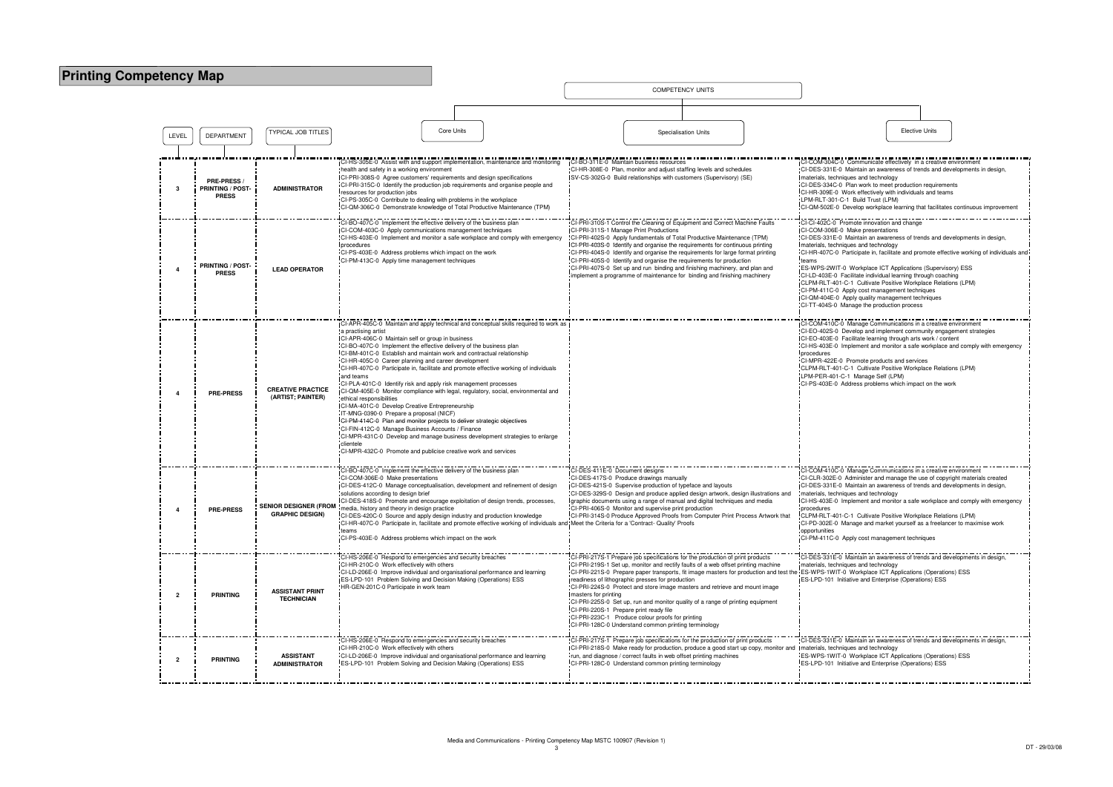## **Printing Competency Map**

LEVELDEPARTMENT | TYPICAL JOB TITLES Specialisation UnitsDEPARTMENT | | ' ' ' ' ' ' Oponanoanon' onne T TYPICAL JOB TITLES CORE Units Core Units Core Units Specialisation Units Specialisation Units Changes and Detroit of the Core Units Changes of the Core Units Changes of the Core Units Changes of the Core Units Changes of **3PRE-PRESS / PRINTING / POST-PRESS ADMINISTRATOR** CI-HS-305E-0 Assist with and support implementation, maintenance and monitoring health and safety in a working environment CI-PRI-308S-0 Agree customers' requirements and design specifications CI-PRI-315C-0 Identify the production job requirements and organise people and resources for production jobs CI-PS-305C-0 Contribute to dealing with problems in the workplace CI-QM-306C-0 Demonstrate knowledge of Total Productive Maintenance (TPM)CI-BO-311E-0 Maintain business resources CI-HR-308E-0 Plan, monitor and adjust staffing levels and schedules SV-CS-302G-0 Build relationships with customers (Supervisory) (SE) $CI-COM-304C$  $CL-DES-331E-0$ materials, techniques  $CL-DES-334C-0$  $CI-HR-309F-0$  $LPM-RLT-301 C$ I-QM-502E-0 CI-BO-407C-0 Implement the effective delivery of the business planning CI-COM-403C-0 Apply communications management techniques CI-HS-403E-0 Implement and monitor a safe workplace and comply with emergency **procedures**  CI-PS-403E-0 Address problems which impact on the workCI-PRI-310S-1 Control the Cleaning of Equipment and Correct Machine FaultsCI-PRI-311S-1 Manage Print Productions CI-PRI-402S-0 Apply fundamentals of Total Productive Maintenance (TPM) CI-PRI-403S-0 Identify and organise the requirements for continuous printing CI-PRI-404S-0 Identify and organise the requirements for large format printing $C1-C1-402C-0$ CI-COM-306E- $Cl-DES-331E-0$ materials, tech **4 PRINTING / POST- PRESS LEAD OPERATOR** CI-PM-413C-0 Apply time management techniquesCI-PRI-405S-0 Identify and organise the requirements for production CI-PRI-407S-0 Set up and run binding and finishing machinery, and plan and plement a programme of maintenance for binding and finishing machinery  $CL-HR-407C-0$ teams $CL-LD-403E-0$ CLPM-RLT-401  $CLPM-411C-0$  $ICI-OM-404F-0$  $CLTT-404S-0$ **<sup>4</sup> PRE-PRESS CREATIVE PRACTICE (ARTIST; PAINTER)**CI-APR-405C-0 Maintain and apply technical and conceptual skills required to work as a practising artist CI-APR-406C-0 Maintain self or group in business CI-BO-407C-0 Implement the effective delivery of the business plan CI-BM-401C-0 Establish and maintain work and contractual relationshipCI-HR-405C-0 Career planning and career development CI-HR-407C-0 Participate in, facilitate and promote effective working of individuals and teams CI-PLA-401C-0 Identify risk and apply risk management processes CI-QM-405E-0 Monitor compliance with legal, regulatory, social, environmental and ethical responsibilities CI-MA-401C-0 Develop Creative EntrepreneurshipIT-MNG-0390-0 Prepare a proposal (NICF) CI-PM-414C-0 Plan and monitor projects to deliver strategic objectives $CI-COM-410C CI-EO-402S-0$  $ICI-EO-403E-0$  $CI-HS-403E-0$ proceduresCLIMITT-ALL  $LPM-PFR-401$  $CI-PS-403E-0$ CI-FIN-412C-0 Manage Business Accounts / Finance CI-MPR-431C-0 Develop and manage business development strategies to enlarge clientele CI-MPR-432C-0 Promote and publicise creative work and services**<sup>4</sup> PRE-PRESS SENIOR DESIGNER (FROM GRAPHIC DESIGN)**CI-BO-407C-0 Implement the effective delivery of the business planCI-COM-306E-0 Make presentations CI-DES-412C-0 Manage conceptualisation, development and refinement of design solutions according to design brief CI-DES-418S-0 Promote and encourage exploitation of design trends, processes, media, history and theory in design practice CI-DES-420C-0 Source and apply design industry and production knowledge CI-HR-407C-0 Participate in, facilitate and promote effective working of individuals and Meet the Criteria for a 'Contract- Quality' Proofsteams CI-PS-403E-0 Address problems which impact on the workCI-DES-411E-0 Document designs CI-DES-417S-0 Produce drawings manually CI-DES-421S-0 Supervise production of typeface and layouts CI-DES-329S-0 Design and produce applied design artwork, design illustrations and graphic documents using a range of manual and digital techniques and mediaCI-PRI-406S-0 Monitor and supervise print production CI-PRI-314S-0 Produce Approved Proofs from Computer Print Process Artwork that CI-COM-410C-0 Manage Communications in a creative environment $CLCL$  B-302E-0  $ICI-DES-331E-0$ materials, techn  $ICI-HS-403E-0$ rocedures CI-PD-302E-0 opportunities**2 PRINTING ASSISTANT PRINT TECHNICIAN**-<br>"CI-HS-206E-0 Respond to emergencies and security breaches CI-HR-210C-0 Work effectively with others CI-LD-206E-0 Improve individual and organisational performance and learningES-LPD-101 Problem Solving and Decision Making (Operations) ESS HR-GEN-201C-0 Participate in work teamCI-PRI-217S-1 Prepare job specifications for the production of print products CI-PRI-219S-1 Set up, monitor and rectify faults of a web offset printing machine CI-PRI-221S-0 Prepare paper transports, fit image masters for production and test the ES-WPS-1WIT-0 Workplace ICT Applications (Operations) ESSreadiness of lithographic presses for production CI-PRI-224S-0 Protect and store image masters and retrieve and mount image masters for printing CI-PRI-225S-0 Set up, run and monitor quality of a range of printing equipment  $CI-DES-331E-0$ materials, tech ES-LPD-101 In CI-PRI-220S-1 Prepare print ready file CI-PRI-223C-1 Produce colour proofs for printing CI-PRI-128C-0 Understand common printing terminology**2 PRINTING ASSISTANT ADMINISTRATOR**CI-HS-206E-0 Respond to emergencies and security breachesCI-HR-210C-0 Work effectively with others CI-LD-206E-0 Improve individual and organisational performance and learningES-LPD-101 Problem Solving and Decision Making (Operations) ESSCI-PRI-217S-1 Prepare job specifications for the production of print products CI-PRI-218S-0 Make ready for production, produce a good start up copy, monitor and run, and diagnose / correct faults in web offset printing machinesCI-PRI-128C-0 Understand common printing terminology $CL-DES-331E-0$ Imaterials, techn ES-WPS-1WIT-ES-LPD-101 li

COMPETENCY UNITS

| <b>Elective Units</b>                                                                                                                                                                                                                                                                                                                                                                                                                                                                                                                                                                                                                                                                                                                                                                                                     |
|---------------------------------------------------------------------------------------------------------------------------------------------------------------------------------------------------------------------------------------------------------------------------------------------------------------------------------------------------------------------------------------------------------------------------------------------------------------------------------------------------------------------------------------------------------------------------------------------------------------------------------------------------------------------------------------------------------------------------------------------------------------------------------------------------------------------------|
|                                                                                                                                                                                                                                                                                                                                                                                                                                                                                                                                                                                                                                                                                                                                                                                                                           |
| CI-COM-304C-0 Communicate effectively in a creative environment<br>CI-DES-331E-0 Maintain an awareness of trends and developments in design,<br>materials, techniques and technology<br>CI-DES-334C-0 Plan work to meet production requirements<br>CI-HR-309E-0 Work effectively with individuals and teams<br>LPM-RLT-301-C-1 Build Trust (LPM)<br>CI-QM-502E-0 Develop workplace learning that facilitates continuous improvement                                                                                                                                                                                                                                                                                                                                                                                       |
| CI-CI-402C-0 Promote innovation and change<br>CI-COM-306E-0 Make presentations<br>CI-DES-331E-0 Maintain an awareness of trends and developments in design,<br>materials, techniques and technology<br>CI-HR-407C-0 Participate in, facilitate and promote effective working of individuals and<br>teams<br>ES-WPS-2WIT-0 Workplace ICT Applications (Supervisory) ESS<br>CI-LD-403E-0 Facilitate individual learning through coaching<br>CLPM-RLT-401-C-1 Cultivate Positive Workplace Relations (LPM)<br>CI-PM-411C-0 Apply cost management techniques<br>CI-QM-404E-0 Apply quality management techniques<br>CI-TT-404S-0 Manage the production process                                                                                                                                                                |
| CI-COM-410C-0 Manage Communications in a creative environment<br>CI-EO-402S-0 Develop and implement community engagement strategies<br>CI-EO-403E-0 Facilitate learning through arts work / content<br>CI-HS-403E-0 Implement and monitor a safe workplace and comply with emergency<br>procedures<br>CI-MPR-422E-0 Promote products and services<br>CLPM-RLT-401-C-1 Cultivate Positive Workplace Relations (LPM)<br>LPM-PER-401-C-1 Manage Self (LPM)<br>CI-PS-403E-0 Address problems which impact on the work                                                                                                                                                                                                                                                                                                         |
| CI-COM-410C-0 Manage Communications in a creative environment<br>CI-CLR-302E-0 Administer and manage the use of copyright materials created<br>CI-DES-331E-0 Maintain an awareness of trends and developments in design,<br>materials, techniques and technology<br>CI-HS-403E-0 Implement and monitor a safe workplace and comply with emergency<br>procedures<br>CLPM-RLT-401-C-1 Cultivate Positive Workplace Relations (LPM)<br>CI-PD-302E-0 Manage and market yourselt as a treelancer to maximise work<br>opportunities<br>CI-PM-411C-0 Apply cost management techniques<br>CI-DES-331E-0 Maintain an awareness of trends and developments in design,<br>materials, techniques and technology<br>ES-WPS-1WIT-0 Workplace ICT Applications (Operations) ESS<br>ES-LPD-101 Initiative and Enterprise (Operations) ESS |
| CI-DES-331E-0 Maintain an awareness of trends and developments in design,<br>materials, techniques and technology<br>ES-WPS-1WIT-0 Workplace ICT Applications (Operations) ESS<br>ES-LPD-101 Initiative and Enterprise (Operations) ESS                                                                                                                                                                                                                                                                                                                                                                                                                                                                                                                                                                                   |